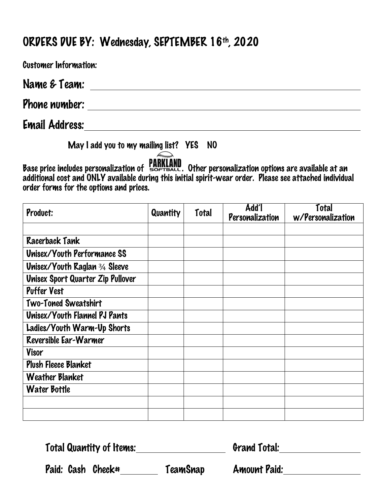## ORDERS DUE BY: Wednesday, SEPTEMBER 16th, 2020

Customer Information: Name & Team: Phone number: with the contract of the contract of the contract of the contract of the contract of the contract of the contract of the contract of the contract of the contract of the contract of the contract of the contrac Email Address:

May I add you to my mailing list? YES NO

Base price includes personalization of **PARKLAND**. Other personalization options are available at an additional cost and ONLY available during this initial spirit-wear order. Please see attached individual order forms for the options and prices.

| Product:                                 | Quantity | <b>Total</b> | Add <sup>7</sup><br>Personalization | Total<br>w/Personalization |
|------------------------------------------|----------|--------------|-------------------------------------|----------------------------|
|                                          |          |              |                                     |                            |
| <b>Racerback Tank</b>                    |          |              |                                     |                            |
| <b>Unisex/Youth Performance SS</b>       |          |              |                                     |                            |
| <b>Unisex/Youth Raglan 34 Sleeve</b>     |          |              |                                     |                            |
| <b>Unisex Sport Quarter Zip Pullover</b> |          |              |                                     |                            |
| <b>Puffer Vest</b>                       |          |              |                                     |                            |
| Two-Toned Sweatshirt                     |          |              |                                     |                            |
| Unisex/Youth Flannel PJ Pants            |          |              |                                     |                            |
| Ladies/Youth Warm-Up Shorts              |          |              |                                     |                            |
| Reversible Ear-Warmer                    |          |              |                                     |                            |
| Visor                                    |          |              |                                     |                            |
| <b>Plush Fleece Blanket</b>              |          |              |                                     |                            |
| <b>Weather Blanket</b>                   |          |              |                                     |                            |
| <b>Water Bottle</b>                      |          |              |                                     |                            |
|                                          |          |              |                                     |                            |
|                                          |          |              |                                     |                            |

Total Quantity of Items: Grand Total:

Paid: Cash Check# TeamSnap Amount Paid: